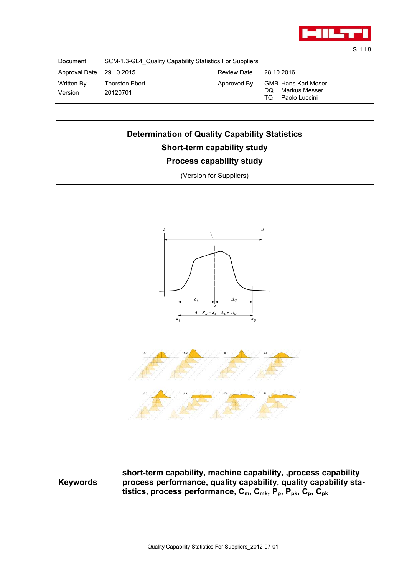

S 1 I 8

Document SCM-1.3-GL4\_Quality Capability Statistics For Suppliers

| Approval Date 29.10.2015 |                            | <b>Review Date</b> | 28.10.2016                                                              |
|--------------------------|----------------------------|--------------------|-------------------------------------------------------------------------|
| Written By<br>Version    | Thorsten Ebert<br>20120701 | Approved By        | <b>GMB Hans Karl Moser</b><br>DQ Markus Messer<br>Paolo Luccini<br>TO - |

# **Determination of Quality Capability Statistics Short-term capability study Process capability study**

 $\Delta_{II}$ ù  $\Delta = X_U - X_L = \Delta_L + \Delta_U$  $\overline{x}$  $\dot{x}_{ii}$ 

(Version for Suppliers)

## **Keywords**

**short-term capability, machine capability, ,process capability process performance, quality capability, quality capability sta**tistics, process performance,  $C_m$ ,  $C_{mk}$ ,  $P_p$ ,  $P_{pk}$ ,  $C_p$ ,  $C_{pk}$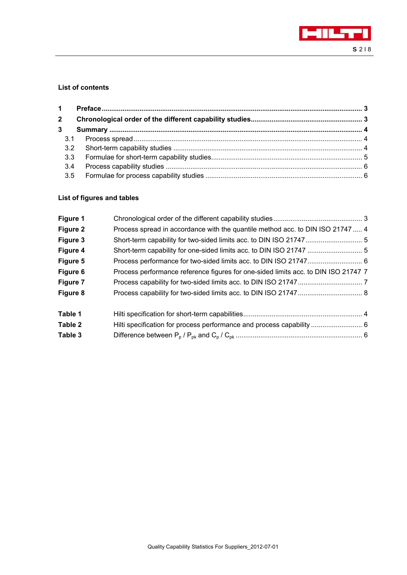

# **List of contents**

| $\overline{2}$ |  |
|----------------|--|
| $\overline{3}$ |  |
|                |  |
|                |  |
|                |  |
| 3.4            |  |
|                |  |

## **List of figures and tables**

| Figure 1 |                                                                                    |  |
|----------|------------------------------------------------------------------------------------|--|
| Figure 2 | Process spread in accordance with the quantile method acc. to DIN ISO 21747 4      |  |
| Figure 3 |                                                                                    |  |
| Figure 4 |                                                                                    |  |
| Figure 5 |                                                                                    |  |
| Figure 6 | Process performance reference figures for one-sided limits acc. to DIN ISO 21747 7 |  |
| Figure 7 |                                                                                    |  |
| Figure 8 |                                                                                    |  |
| Table 1  |                                                                                    |  |
| Table 2  |                                                                                    |  |
| Table 3  |                                                                                    |  |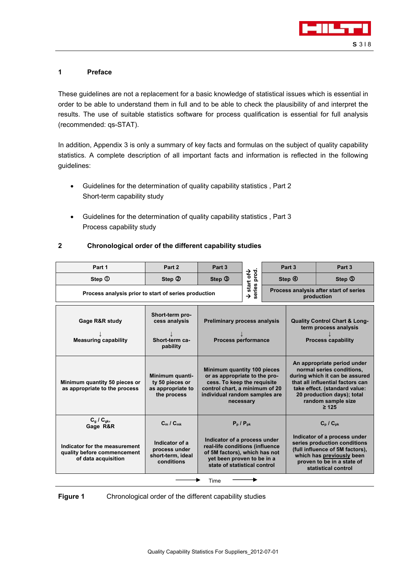

## **1 Preface**

These guidelines are not a replacement for a basic knowledge of statistical issues which is essential in order to be able to understand them in full and to be able to check the plausibility of and interpret the results. The use of suitable statistics software for process qualification is essential for full analysis (recommended: qs-STAT).

In addition, Appendix 3 is only a summary of key facts and formulas on the subject of quality capability statistics. A complete description of all important facts and information is reflected in the following guidelines:

- Guidelines for the determination of quality capability statistics , Part 2 Short-term capability study
- Guidelines for the determination of quality capability statistics , Part 3 Process capability study

## **2 Chronological order of the different capability studies**

| Part 1                                                                              | Part 2                                                                 | Part 3                                                                                                                                                                      |            |                                                                                                                                                                                                                                   | Part 3                                                                                         | Part 3 |
|-------------------------------------------------------------------------------------|------------------------------------------------------------------------|-----------------------------------------------------------------------------------------------------------------------------------------------------------------------------|------------|-----------------------------------------------------------------------------------------------------------------------------------------------------------------------------------------------------------------------------------|------------------------------------------------------------------------------------------------|--------|
| Step <sup>1</sup>                                                                   | Step 2                                                                 | Step 3                                                                                                                                                                      | start of V |                                                                                                                                                                                                                                   | Step 4                                                                                         | Step 5 |
| Process analysis prior to start of series production                                |                                                                        | series prod<br>Process analysis after start of series<br>$\rightarrow$<br>production                                                                                        |            |                                                                                                                                                                                                                                   |                                                                                                |        |
| <b>Gage R&amp;R study</b><br><b>Measuring capability</b>                            | Short-term pro-<br>cess analysis<br>Short-term ca-<br>pability         | <b>Preliminary process analysis</b><br><b>Process performance</b>                                                                                                           |            |                                                                                                                                                                                                                                   | <b>Quality Control Chart &amp; Long-</b><br>term process analysis<br><b>Process capability</b> |        |
| Minimum quantity 50 pieces or<br>as appropriate to the process                      | Minimum quanti-<br>ty 50 pieces or<br>as appropriate to<br>the process | Minimum quantity 100 pieces<br>or as appropriate to the pro-<br>cess. To keep the requisite<br>control chart, a minimum of 20<br>individual random samples are<br>necessary |            | An appropriate period under<br>normal series conditions,<br>during which it can be assured<br>that all influential factors can<br>take effect. (standard value:<br>20 production days); total<br>random sample size<br>$\geq 125$ |                                                                                                |        |
| $C_q / C_{gk}$<br>Gage R&R                                                          | $C_m / C_{mk}$                                                         | $P_p / P_{pk}$                                                                                                                                                              |            | $C_p / C_{pk}$                                                                                                                                                                                                                    |                                                                                                |        |
| Indicator for the measurement<br>quality before commencement<br>of data acquisition | Indicator of a<br>process under<br>short-term, ideal<br>conditions     | Indicator of a process under<br>real-life conditions (influence<br>of 5M factors), which has not<br>yet been proven to be in a<br>state of statistical control              |            | Indicator of a process under<br>series production conditions<br>(full influence of 5M factors),<br>which has previously been<br>proven to be in a state of<br>statistical control                                                 |                                                                                                |        |
|                                                                                     |                                                                        | Time                                                                                                                                                                        |            |                                                                                                                                                                                                                                   |                                                                                                |        |

**Figure 1** Chronological order of the different capability studies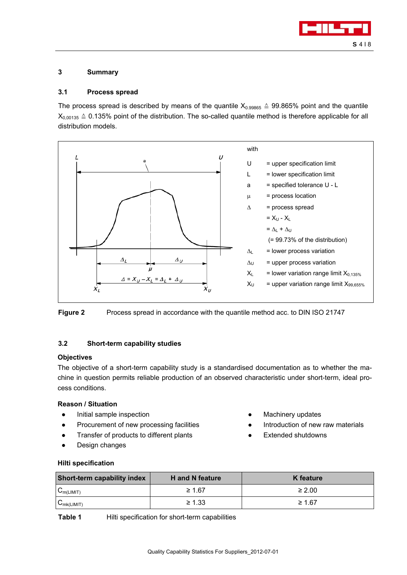

## **3 Summary**

## **3.1 Process spread**

The process spread is described by means of the quantile  $X_{0.99865} \triangleq 99.865\%$  point and the quantile  $X_{0.00135} \triangleq 0.135\%$  point of the distribution. The so-called quantile method is therefore applicable for all distribution models.





## **3.2 Short-term capability studies**

## **Objectives**

The objective of a short-term capability study is a standardised documentation as to whether the machine in question permits reliable production of an observed characteristic under short-term, ideal process conditions.

## **Reason / Situation**

- Initial sample inspection
- Procurement of new processing facilities
- Transfer of products to different plants
- Design changes
- **Machinery updates**
- Introduction of new raw materials
- **Extended shutdowns**

#### **Hilti specification**

| <b>Short-term capability index</b> | <b>H</b> and N feature | K feature   |
|------------------------------------|------------------------|-------------|
| $C_{m(LIMIT)}$                     | $\geq 1.67$            | $\geq 2.00$ |
| $C_{mk(LIMIT)}$                    | $\geq 1.33$            | $\geq 1.67$ |

**Table 1** Hilti specification for short-term capabilities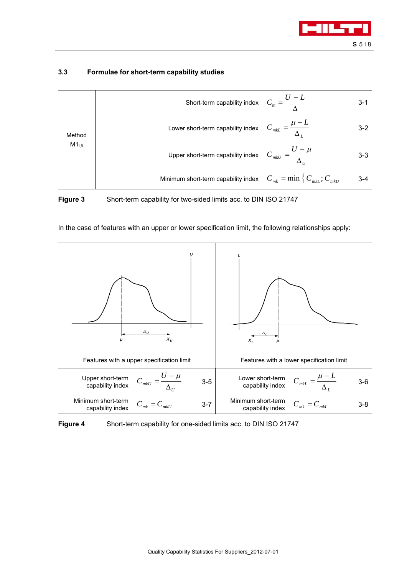

## **3.3 Formulae for short-term capability studies**

|            | Short-term capability index $C_m = \frac{U - L}{\Lambda}$                              | 3-1   |
|------------|----------------------------------------------------------------------------------------|-------|
| Method     | Lower short-term capability index $C_{m k L} = \frac{\mu - L}{\Delta I}$               | $3-2$ |
| $M1_{1,6}$ | Upper short-term capability index $C_{m k U} = \frac{U - \mu}{\Delta_U}$               | $3-3$ |
|            | Minimum short-term capability index $C_{mk} = \min \left\{ C_{mkl} : C_{mkl} \right\}$ | 3-4   |

**Figure 3** Short-term capability for two-sided limits acc. to DIN ISO 21747



In the case of features with an upper or lower specification limit, the following relationships apply:

**Figure 4** Short-term capability for one-sided limits acc. to DIN ISO 21747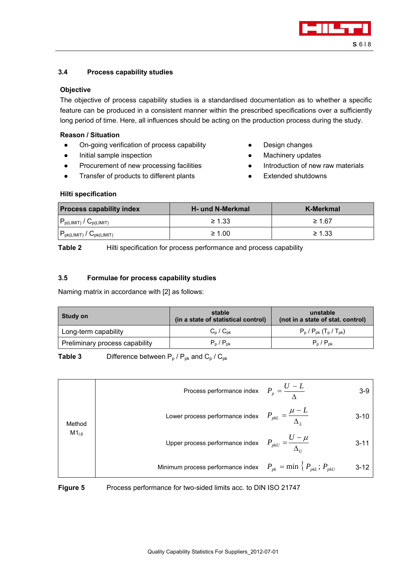

## **3.4 Process capability studies**

#### **Objective**

The objective of process capability studies is a standardised documentation as to whether a specific feature can be produced in a consistent manner within the prescribed specifications over a sufficiently long period of time. Here, all influences should be acting on the production process during the study.

#### **Reason / Situation**

- On-going verification of process capability
- Initial sample inspection
- Procurement of new processing facilities
- Transfer of products to different plants
- Design changes
- Machinery updates
- Introduction of new raw materials
- **Extended shutdowns**

## **Hilti specification**

| <b>Process capability index</b>                 | <b>H</b> - und N-Merkmal | K-Merkmal   |
|-------------------------------------------------|--------------------------|-------------|
| $P_{p(LIMIT)} / C_{p(LIMIT)}$                   | $\geq 1.33$              | $\geq 1.67$ |
| $P_{\text{pk(LIMIT)}}$ / $C_{\text{pk(LIMIT)}}$ | $\geq 1.00$              | $\geq 1.33$ |

**Table 2** Hilti specification for process performance and process capability

## **3.5 Formulae for process capability studies**

Naming matrix in accordance with [2] as follows:

| <b>Study on</b>                | stable<br>(in a state of statistical control) | unstable<br>(not in a state of stat. control)      |
|--------------------------------|-----------------------------------------------|----------------------------------------------------|
| Long-term capability           | $C_p / C_{pk}$                                | $P_p / P_{pk}$ (T <sub>p</sub> / T <sub>pk</sub> ) |
| Preliminary process capability | $P_p$ / $P_{pk}$                              | $P_p$ / $P_{pk}$                                   |

**Table 3** Difference between  $P_p / P_{pk}$  and  $C_p / C_{pk}$ 

|            | Process performance index $P_p = \frac{U - L}{\Delta}$                   | 3-9      |
|------------|--------------------------------------------------------------------------|----------|
| Method     | Lower process performance index $P_{pkL} = \frac{\mu - L}{\Delta}$       | $3 - 10$ |
| $M1_{1,6}$ | Upper process performance index $P_{pkU} = \frac{U - \mu}{\Delta_U}$     | $3 - 11$ |
|            | Minimum process performance index $P_{pk} = \min \{ P_{pkl}; P_{pkU} \}$ | $3 - 12$ |

**Figure 5** Process performance for two-sided limits acc. to DIN ISO 21747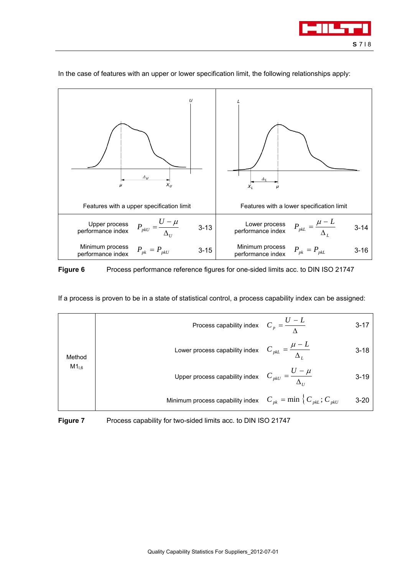



In the case of features with an upper or lower specification limit, the following relationships apply:

# **Figure 6** Process performance reference figures for one-sided limits acc. to DIN ISO 21747

If a process is proven to be in a state of statistical control, a process capability index can be assigned:

|           | Process capability index $C_p = \frac{U - L}{\Lambda}$                             | 3-17     |
|-----------|------------------------------------------------------------------------------------|----------|
| Method    | Lower process capability index $C_{pkL} = \frac{\mu - L}{\Delta_L}$                | $3 - 18$ |
| $M1_{,6}$ | Upper process capability index $C_{pkU} = \frac{U - \mu}{\Delta_U}$                | $3 - 19$ |
|           | Minimum process capability index $C_{pk} = \min \left\{ C_{pkl}; C_{pkU} \right\}$ | $3 - 20$ |

**Figure 7** Process capability for two-sided limits acc. to DIN ISO 21747